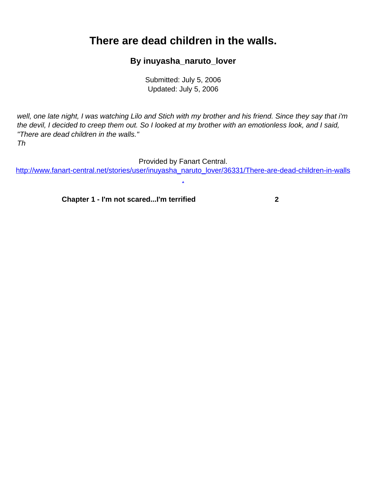## <span id="page-0-0"></span>**There are dead children in the walls.**

## **By inuyasha\_naruto\_lover**

Submitted: July 5, 2006 Updated: July 5, 2006

well, one late night, I was watching Lilo and Stich with my brother and his friend. Since they say that i'm the devil, I decided to creep them out. So I looked at my brother with an emotionless look, and I said, "There are dead children in the walls."

Th

Provided by Fanart Central.

[http://www.fanart-central.net/stories/user/inuyasha\\_naruto\\_lover/36331/There-are-dead-children-in-walls](#page-0-0) [.](#page-0-0)

**[Chapter 1 - I'm not scared...I'm terrified](#page-1-0) [2](#page-1-0)**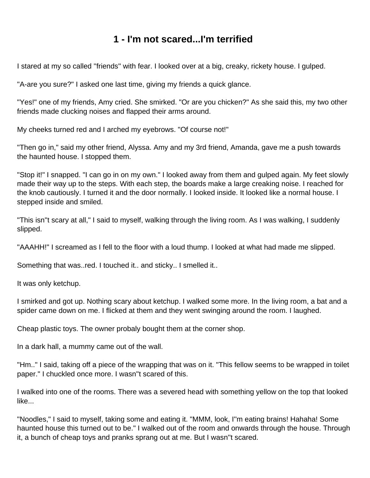## **1 - I'm not scared...I'm terrified**

<span id="page-1-0"></span>I stared at my so called ''friends'' with fear. I looked over at a big, creaky, rickety house. I gulped.

"A-are you sure?" I asked one last time, giving my friends a quick glance.

"Yes!" one of my friends, Amy cried. She smirked. "Or are you chicken?" As she said this, my two other friends made clucking noises and flapped their arms around.

My cheeks turned red and I arched my eyebrows. "Of course not!"

"Then go in," said my other friend, Alyssa. Amy and my 3rd friend, Amanda, gave me a push towards the haunted house. I stopped them.

"Stop it!" I snapped. "I can go in on my own." I looked away from them and gulped again. My feet slowly made their way up to the steps. With each step, the boards make a large creaking noise. I reached for the knob cautiously. I turned it and the door normally. I looked inside. It looked like a normal house. I stepped inside and smiled.

"This isn''t scary at all," I said to myself, walking through the living room. As I was walking, I suddenly slipped.

"AAAHH!" I screamed as I fell to the floor with a loud thump. I looked at what had made me slipped.

Something that was..red. I touched it.. and sticky.. I smelled it..

It was only ketchup.

I smirked and got up. Nothing scary about ketchup. I walked some more. In the living room, a bat and a spider came down on me. I flicked at them and they went swinging around the room. I laughed.

Cheap plastic toys. The owner probaly bought them at the corner shop.

In a dark hall, a mummy came out of the wall.

"Hm.." I said, taking off a piece of the wrapping that was on it. "This fellow seems to be wrapped in toilet paper." I chuckled once more. I wasn''t scared of this.

I walked into one of the rooms. There was a severed head with something yellow on the top that looked like...

"Noodles," I said to myself, taking some and eating it. "MMM, look, I''m eating brains! Hahaha! Some haunted house this turned out to be." I walked out of the room and onwards through the house. Through it, a bunch of cheap toys and pranks sprang out at me. But I wasn''t scared.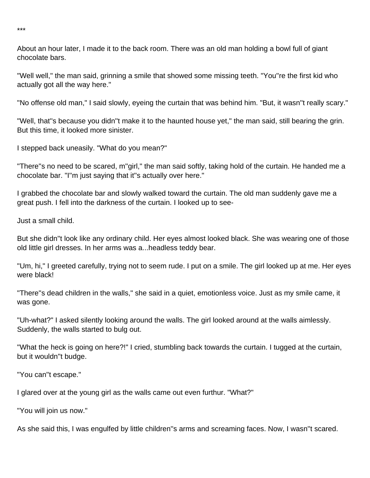About an hour later, I made it to the back room. There was an old man holding a bowl full of giant chocolate bars.

"Well well," the man said, grinning a smile that showed some missing teeth. "You''re the first kid who actually got all the way here."

"No offense old man," I said slowly, eyeing the curtain that was behind him. "But, it wasn''t really scary."

"Well, that''s because you didn''t make it to the haunted house yet," the man said, still bearing the grin. But this time, it looked more sinister.

I stepped back uneasily. "What do you mean?"

"There''s no need to be scared, m''girl," the man said softly, taking hold of the curtain. He handed me a chocolate bar. "I''m just saying that it''s actually over here."

I grabbed the chocolate bar and slowly walked toward the curtain. The old man suddenly gave me a great push. I fell into the darkness of the curtain. I looked up to see-

Just a small child.

But she didn''t look like any ordinary child. Her eyes almost looked black. She was wearing one of those old little girl dresses. In her arms was a...headless teddy bear.

"Um, hi," I greeted carefully, trying not to seem rude. I put on a smile. The girl looked up at me. Her eyes were black!

"There''s dead children in the walls," she said in a quiet, emotionless voice. Just as my smile came, it was gone.

"Uh-what?" I asked silently looking around the walls. The girl looked around at the walls aimlessly. Suddenly, the walls started to bulg out.

"What the heck is going on here?!" I cried, stumbling back towards the curtain. I tugged at the curtain, but it wouldn''t budge.

"You can''t escape."

I glared over at the young girl as the walls came out even furthur. "What?"

"You will join us now."

As she said this, I was engulfed by little children''s arms and screaming faces. Now, I wasn''t scared.

\*\*\*